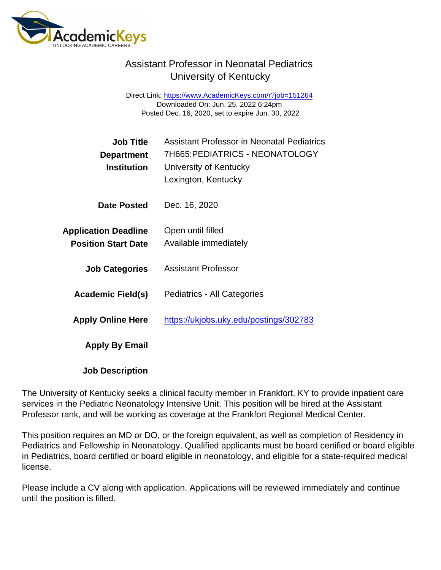## Assistant Professor in Neonatal Pediatrics University of Kentucky

Direct Link: <https://www.AcademicKeys.com/r?job=151264> Downloaded On: Jun. 25, 2022 6:24pm Posted Dec. 16, 2020, set to expire Jun. 30, 2022

| <b>Job Title</b><br>Department<br>Institution             | <b>Assistant Professor in Neonatal Pediatrics</b><br>7H665: PEDIATRICS - NEONATOLOGY<br>University of Kentucky<br>Lexington, Kentucky |
|-----------------------------------------------------------|---------------------------------------------------------------------------------------------------------------------------------------|
| Date Posted                                               | Dec. 16, 2020                                                                                                                         |
| <b>Application Deadline</b><br><b>Position Start Date</b> | Open until filled<br>Available immediately                                                                                            |
| <b>Job Categories</b>                                     | <b>Assistant Professor</b>                                                                                                            |
| Academic Field(s)                                         | Pediatrics - All Categories                                                                                                           |
| <b>Apply Online Here</b>                                  | https://ukjobs.uky.edu/postings/302783                                                                                                |
| Apply By Email                                            |                                                                                                                                       |
| <b>Job Description</b>                                    |                                                                                                                                       |

The University of Kentucky seeks a clinical faculty member in Frankfort, KY to provide inpatient care services in the Pediatric Neonatology Intensive Unit. This position will be hired at the Assistant Professor rank, and will be working as coverage at the Frankfort Regional Medical Center.

This position requires an MD or DO, or the foreign equivalent, as well as completion of Residency in Pediatrics and Fellowship in Neonatology. Qualified applicants must be board certified or board eligible in Pediatrics, board certified or board eligible in neonatology, and eligible for a state-required medical license.

Please include a CV along with application. Applications will be reviewed immediately and continue until the position is filled.